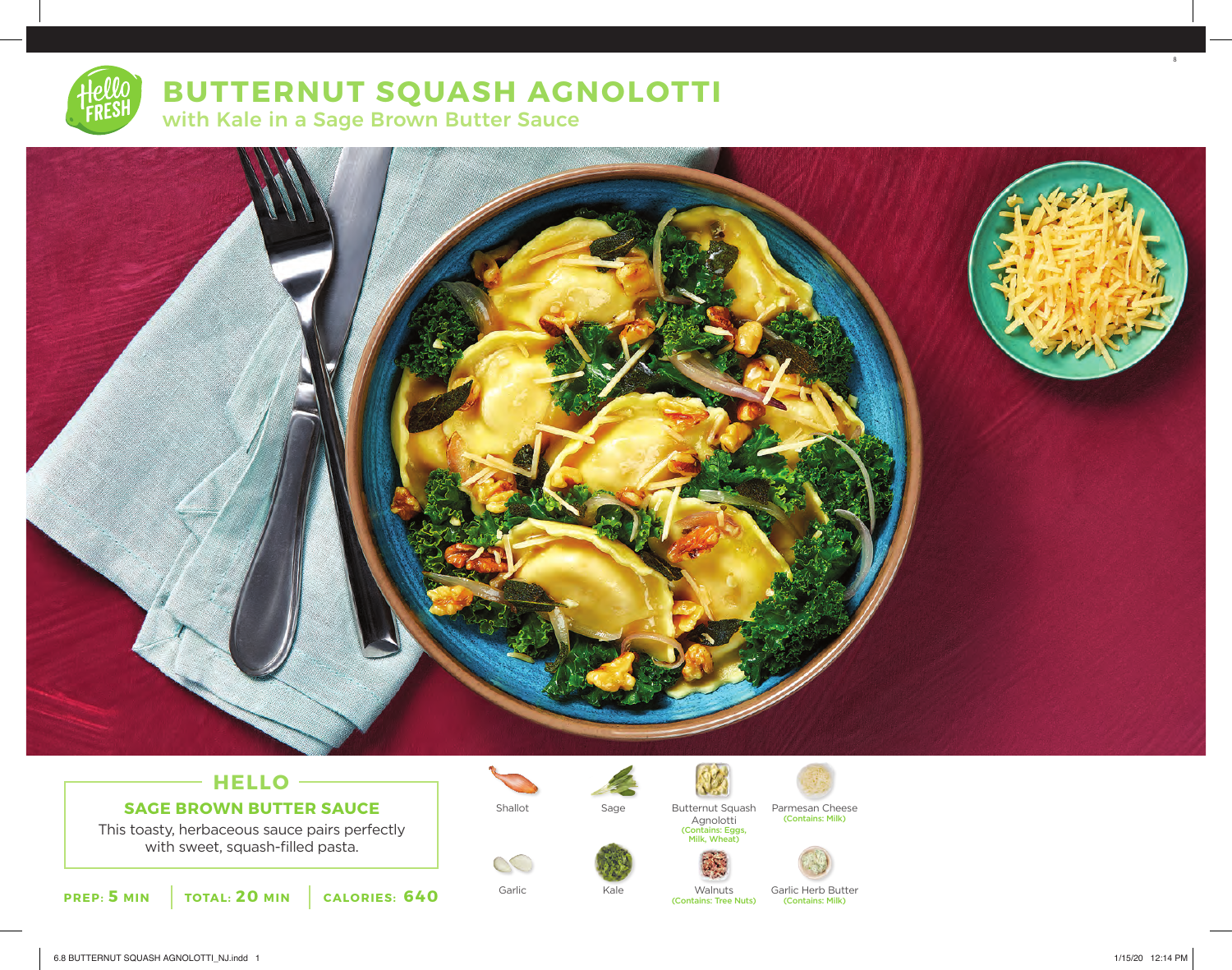# **BUTTERNUT SQUASH AGNOLOTTI** with Kale in a Sage Brown Butter Sauce



## **HELLO SAGE BROWN BUTTER SAUCE**

This toasty, herbaceous sauce pairs perfectly with sweet, squash-filled pasta.



 $\infty$ 



Sage

Kale



Walnuts

Shallot Sage Butternut Squash Parmesan Cheese Parmesan Cheese<br>(Contains: Milk) Agnolotti

(Contains: Eggs, Milk, Wheat)



Garlic Carlic Kale Walnuts Garlic Herb Butter

(Contains: Milk) (Contains: Tree Nuts)

8